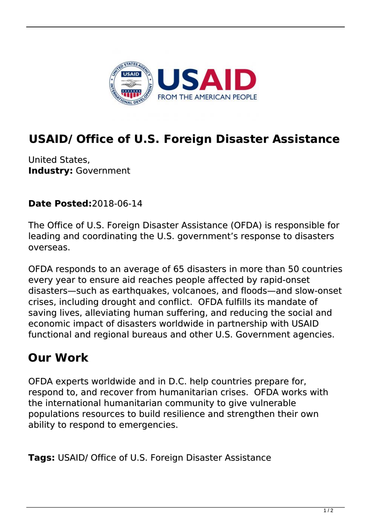

## **USAID/ Office of U.S. Foreign Disaster Assistance**

United States, **Industry:** Government

**Date Posted:**2018-06-14

The Office of U.S. Foreign Disaster Assistance (OFDA) is responsible for leading and coordinating the U.S. government's response to disasters overseas.

OFDA responds to an average of 65 disasters in more than 50 countries every year to ensure aid reaches people affected by rapid-onset disasters—such as earthquakes, volcanoes, and floods—and slow-onset crises, including drought and conflict. OFDA fulfills its mandate of saving lives, alleviating human suffering, and reducing the social and economic impact of disasters worldwide in partnership with USAID functional and regional bureaus and other U.S. Government agencies.

## **Our Work**

OFDA experts worldwide and in D.C. help countries prepare for, respond to, and recover from humanitarian crises. OFDA works with the international humanitarian community to give vulnerable populations resources to build resilience and strengthen their own ability to respond to emergencies.

**Tags:** USAID/ Office of U.S. Foreign Disaster Assistance